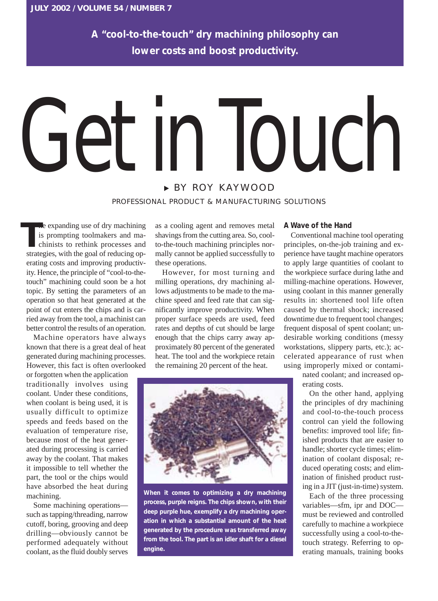**A "cool-to-the-touch" dry machining philosophy can lower costs and boost productivity.**

## <sup>❿</sup> BY ROY KAYWOOD IN IOUCH

PROFESSIONAL PRODUCT & MANUFACTURING SOLUTIONS

he expanding use of dry machining is prompting toolmakers and machinists to rethink processes and strategies, with the goal of reducing operating costs and improving productivity. Hence, the principle of "cool-to-thetouch" machining could soon be a hot topic. By setting the parameters of an operation so that heat generated at the point of cut enters the chips and is carried away from the tool, a machinist can better control the results of an operation. **T**

Machine operators have always known that there is a great deal of heat generated during machining processes. However, this fact is often overlooked

or forgotten when the application traditionally involves using coolant. Under these conditions, when coolant is being used, it is usually difficult to optimize speeds and feeds based on the evaluation of temperature rise, because most of the heat generated during processing is carried away by the coolant. That makes it impossible to tell whether the part, the tool or the chips would have absorbed the heat during machining.

Some machining operations such as tapping/threading, narrow cutoff, boring, grooving and deep drilling—obviously cannot be performed adequately without coolant, as the fluid doubly serves

as a cooling agent and removes metal shavings from the cutting area. So, coolto-the-touch machining principles normally cannot be applied successfully to these operations.

However, for most turning and milling operations, dry machining allows adjustments to be made to the machine speed and feed rate that can significantly improve productivity. When proper surface speeds are used, feed rates and depths of cut should be large enough that the chips carry away approximately 80 percent of the generated heat. The tool and the workpiece retain the remaining 20 percent of the heat.



**When it comes to optimizing a dry machining process, purple reigns. The chips shown, with their deep purple hue, exemplify a dry machining operation in which a substantial amount of the heat generated by the procedure was transferred away from the tool. The part is an idler shaft for a diesel engine.**

## **A Wave of the Hand**

Conventional machine tool operating principles, on-the-job training and experience have taught machine operators to apply large quantities of coolant to the workpiece surface during lathe and milling-machine operations. However, using coolant in this manner generally results in: shortened tool life often caused by thermal shock; increased downtime due to frequent tool changes; frequent disposal of spent coolant; undesirable working conditions (messy workstations, slippery parts, etc.); accelerated appearance of rust when using improperly mixed or contami-

> nated coolant; and increased operating costs.

On the other hand, applying the principles of dry machining and cool-to-the-touch process control can yield the following benefits: improved tool life; finished products that are easier to handle; shorter cycle times; elimination of coolant disposal; reduced operating costs; and elimination of finished product rusting in a JIT (just-in-time) system.

Each of the three processing variables—sfm, ipr and DOC must be reviewed and controlled carefully to machine a workpiece successfully using a cool-to-thetouch strategy. Referring to operating manuals, training books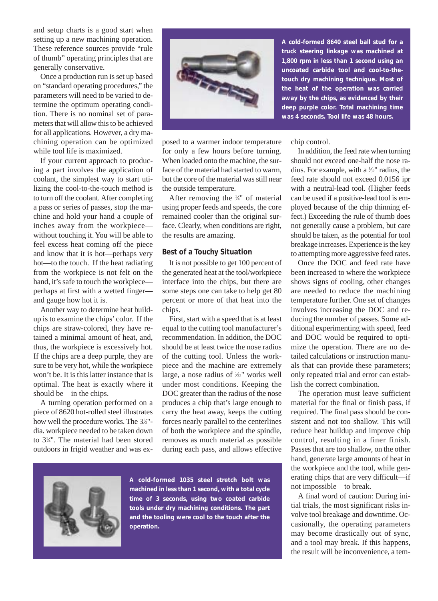and setup charts is a good start when setting up a new machining operation. These reference sources provide "rule of thumb" operating principles that are generally conservative.

Once a production run is set up based on "standard operating procedures," the parameters will need to be varied to determine the optimum operating condition. There is no nominal set of parameters that will allow this to be achieved for all applications. However, a dry machining operation can be optimized while tool life is maximized.

If your current approach to producing a part involves the application of coolant, the simplest way to start utilizing the cool-to-the-touch method is to turn off the coolant. After completing a pass or series of passes, stop the machine and hold your hand a couple of inches away from the workpiece without touching it. You will be able to feel excess heat coming off the piece and know that it is hot—perhaps very hot—to the touch. If the heat radiating from the workpiece is not felt on the hand, it's safe to touch the workpiece perhaps at first with a wetted finger and gauge how hot it is.

Another way to determine heat buildup is to examine the chips' color. If the chips are straw-colored, they have retained a minimal amount of heat, and, thus, the workpiece is excessively hot. If the chips are a deep purple, they are sure to be very hot, while the workpiece won't be. It is this latter instance that is optimal. The heat is exactly where it should be—in the chips.

A turning operation performed on a piece of 8620 hot-rolled steel illustrates how well the procedure works. The 3<sup>1/2"</sup>dia. workpiece needed to be taken down to 31 ⁄4". The material had been stored outdoors in frigid weather and was ex-



**A cold-formed 8640 steel ball stud for a truck steering linkage was machined at 1,800 rpm in less than 1 second using an uncoated carbide tool and cool-to-thetouch dry machining technique. Most of the heat of the operation was carried away by the chips, as evidenced by their deep purple color. Total machining time was 4 seconds. Tool life was 48 hours.**

posed to a warmer indoor temperature for only a few hours before turning. When loaded onto the machine, the surface of the material had started to warm, but the core of the material was still near the outside temperature.

After removing the  $\frac{1}{4}$ " of material using proper feeds and speeds, the core remained cooler than the original surface. Clearly, when conditions are right, the results are amazing.

## **Best of a Touchy Situation**

It is not possible to get 100 percent of the generated heat at the tool/workpiece interface into the chips, but there are some steps one can take to help get 80 percent or more of that heat into the chips.

First, start with a speed that is at least equal to the cutting tool manufacturer's recommendation. In addition, the DOC should be at least twice the nose radius of the cutting tool. Unless the workpiece and the machine are extremely large, a nose radius of  $\frac{1}{32}$ " works well under most conditions. Keeping the DOC greater than the radius of the nose produces a chip that's large enough to carry the heat away, keeps the cutting forces nearly parallel to the centerlines of both the workpiece and the spindle, removes as much material as possible during each pass, and allows effective



**A cold-formed 1035 steel stretch bolt was machined in less than 1 second, with a total cycle time of 3 seconds, using two coated carbide tools under dry machining conditions. The part and the tooling were cool to the touch after the operation.**

chip control.

In addition, the feed rate when turning should not exceed one-half the nose radius. For example, with a  $\frac{1}{2}$ " radius, the feed rate should not exceed 0.0156 ipr with a neutral-lead tool. (Higher feeds can be used if a positive-lead tool is employed because of the chip thinning effect.) Exceeding the rule of thumb does not generally cause a problem, but care should be taken, as the potential for tool breakage increases. Experience is the key to attempting more aggressive feed rates.

Once the DOC and feed rate have been increased to where the workpiece shows signs of cooling, other changes are needed to reduce the machining temperature further. One set of changes involves increasing the DOC and reducing the number of passes. Some additional experimenting with speed, feed and DOC would be required to optimize the operation. There are no detailed calculations or instruction manuals that can provide these parameters; only repeated trial and error can establish the correct combination.

The operation must leave sufficient material for the final or finish pass, if required. The final pass should be consistent and not too shallow. This will reduce heat buildup and improve chip control, resulting in a finer finish. Passes that are too shallow, on the other hand, generate large amounts of heat in the workpiece and the tool, while generating chips that are very difficult—if not impossible—to break.

A final word of caution: During initial trials, the most significant risks involve tool breakage and downtime. Occasionally, the operating parameters may become drastically out of sync, and a tool may break. If this happens, the result will be inconvenience, a tem